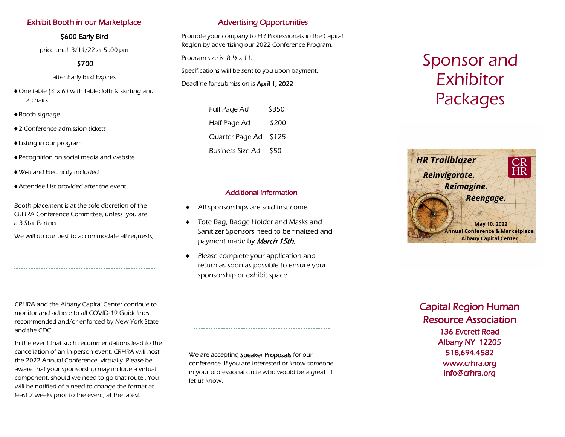# Exhibit Booth in our Marketplace

#### \$600 Early Bird

price until 3/14/22 at 5 :00 pm

# \$700

after Early Bird Expires

- One table (3' x 6') with tablecloth & skirting and 2 chairs
- ◆ Booth signage
- ◆2 Conference admission tickets
- Listing in our program
- Recognition on social media and website
- Wi-fi and Electricity Included
- Attendee List provided after the event

Booth placement is at the sole discretion of the CRHRA Conference Committee, unless you are a 3 Star Partner.

We will do our best to accommodate all requests,

CRHRA and the Albany Capital Center continue to monitor and adhere to all COVID-19 Guidelines recommended and/or enforced by New York State and the CDC.

In the event that such recommendations lead to the cancellation of an in-person event, CRHRA will host the 2022 Annual Conference virtually. Please be aware that your sponsorship may include a virtual component, should we need to go that route.. You will be notified of a need to change the format at least 2 weeks prior to the event, at the latest.

# Advertising Opportunities

Promote your company to HR Professionals in the Capital Region by advertising our 2022 Conference Program.

Program size is 8 ½ x 11.

Specifications will be sent to you upon payment.

Deadline for submission is April 1, 2022

| Full Page Ad            | \$350 |
|-------------------------|-------|
| Half Page Ad            | \$200 |
| Quarter Page Ad         | \$125 |
| <b>Business Size Ad</b> | \$50  |

#### Additional Information

- All sponsorships are sold first come.
- Tote Bag, Badge Holder and Masks and Sanitizer Sponsors need to be finalized and payment made by **March 15th.**
- Please complete your application and return as soon as possible to ensure your sponsorship or exhibit space.

We are accepting Speaker Proposals for our conference. If you are interested or know someone in your professional circle who would be a great fit let us know.

# Sponsor and Exhibitor Packages



Capital Region Human Resource Association 136 Everett Road Albany NY 12205 518,694.4582 www.crhra.org info@crhra.org